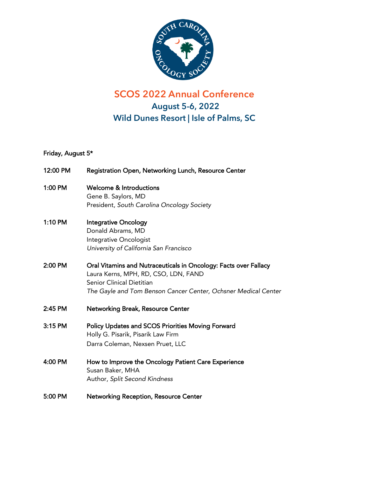

## **SCOS 2022 Annual Conference August 5-6, 2022 Wild Dunes Resort | Isle of Palms, SC**

## Friday, August 5\*

| 12:00 PM | Registration Open, Networking Lunch, Resource Center                                                     |
|----------|----------------------------------------------------------------------------------------------------------|
| 1:00 PM  | <b>Welcome &amp; Introductions</b>                                                                       |
|          | Gene B. Saylors, MD                                                                                      |
|          | President, South Carolina Oncology Society                                                               |
| 1:10 PM  | <b>Integrative Oncology</b>                                                                              |
|          | Donald Abrams, MD                                                                                        |
|          | Integrative Oncologist                                                                                   |
|          | University of California San Francisco                                                                   |
| 2:00 PM  | Oral Vitamins and Nutraceuticals in Oncology: Facts over Fallacy<br>Laura Kerns, MPH, RD, CSO, LDN, FAND |
|          | Senior Clinical Dietitian                                                                                |
|          |                                                                                                          |
|          | The Gayle and Tom Benson Cancer Center, Ochsner Medical Center                                           |
| 2:45 PM  | Networking Break, Resource Center                                                                        |
| 3:15 PM  | <b>Policy Updates and SCOS Priorities Moving Forward</b>                                                 |
|          | Holly G. Pisarik, Pisarik Law Firm                                                                       |
|          | Darra Coleman, Nexsen Pruet, LLC                                                                         |
| 4:00 PM  | How to Improve the Oncology Patient Care Experience                                                      |
|          | Susan Baker, MHA                                                                                         |
|          | Author, Split Second Kindness                                                                            |
| 5:00 PM  | <b>Networking Reception, Resource Center</b>                                                             |
|          |                                                                                                          |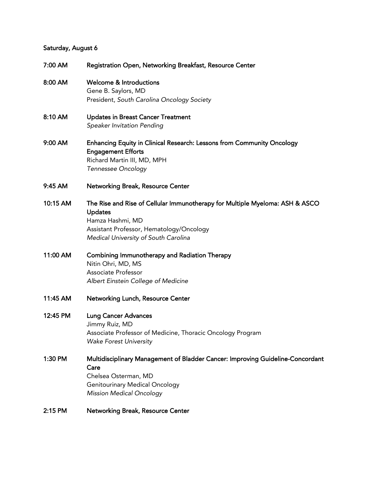## Saturday, August 6

| 7:00 AM  | Registration Open, Networking Breakfast, Resource Center                                                                                                                                               |
|----------|--------------------------------------------------------------------------------------------------------------------------------------------------------------------------------------------------------|
| 8:00 AM  | <b>Welcome &amp; Introductions</b><br>Gene B. Saylors, MD<br>President, South Carolina Oncology Society                                                                                                |
| 8:10 AM  | <b>Updates in Breast Cancer Treatment</b><br>Speaker Invitation Pending                                                                                                                                |
| 9:00 AM  | Enhancing Equity in Clinical Research: Lessons from Community Oncology<br><b>Engagement Efforts</b><br>Richard Martin III, MD, MPH<br>Tennessee Oncology                                               |
| 9:45 AM  | <b>Networking Break, Resource Center</b>                                                                                                                                                               |
| 10:15 AM | The Rise and Rise of Cellular Immunotherapy for Multiple Myeloma: ASH & ASCO<br><b>Updates</b><br>Hamza Hashmi, MD<br>Assistant Professor, Hematology/Oncology<br>Medical University of South Carolina |
| 11:00 AM | <b>Combining Immunotherapy and Radiation Therapy</b><br>Nitin Ohri, MD, MS<br><b>Associate Professor</b><br>Albert Einstein College of Medicine                                                        |
| 11:45 AM | Networking Lunch, Resource Center                                                                                                                                                                      |
| 12:45 PM | <b>Lung Cancer Advances</b><br>Jimmy Ruiz, MD<br>Associate Professor of Medicine, Thoracic Oncology Program<br><b>Wake Forest University</b>                                                           |
| 1:30 PM  | Multidisciplinary Management of Bladder Cancer: Improving Guideline-Concordant<br>Care<br>Chelsea Osterman, MD<br><b>Genitourinary Medical Oncology</b><br><b>Mission Medical Oncology</b>             |
| 2:15 PM  | <b>Networking Break, Resource Center</b>                                                                                                                                                               |